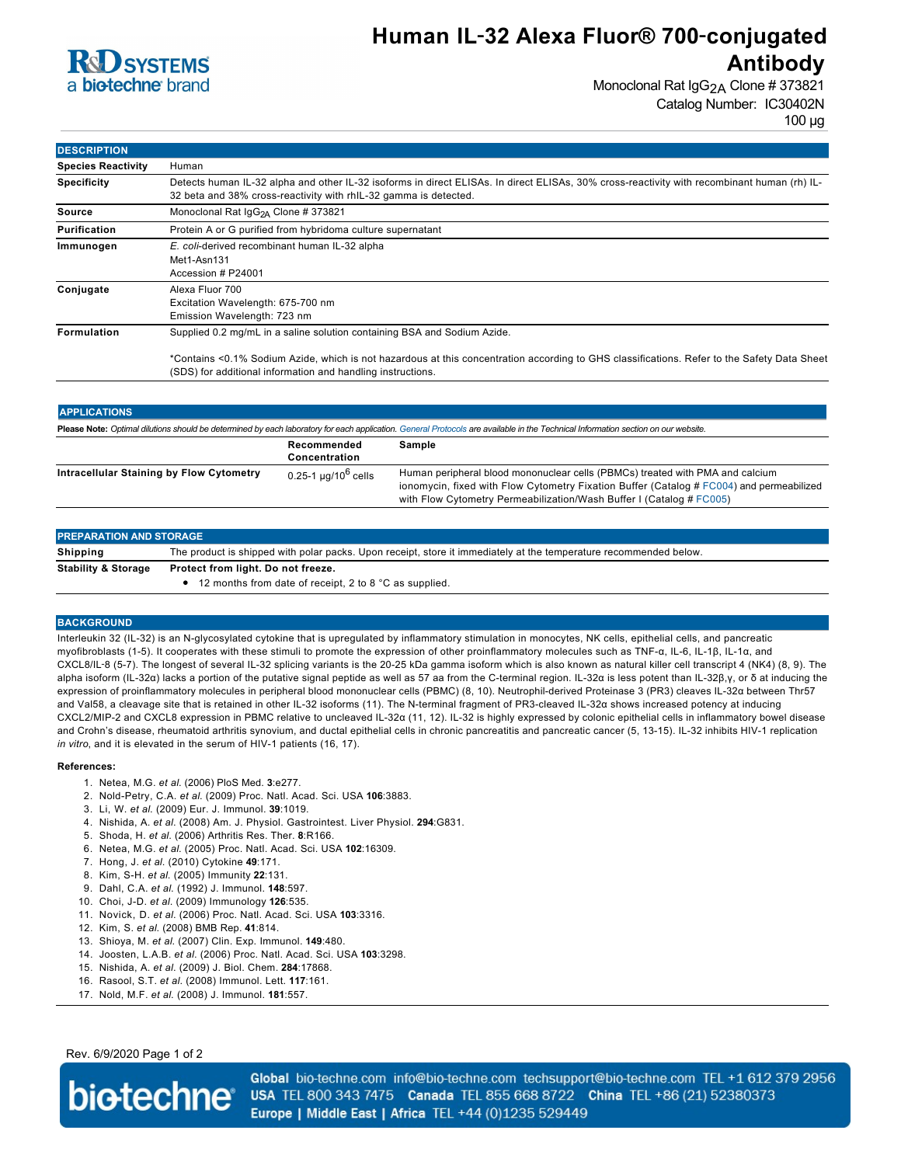

## **Human IL**‑**32 Alexa Fluor® 700**‑**conjugated Antibody**

Monoclonal Rat IgG<sub>2A</sub> Clone # 373821 Catalog Number: IC30402N 100 µg

| <b>DESCRIPTION</b>        |                                                                                                                                                                                                                 |
|---------------------------|-----------------------------------------------------------------------------------------------------------------------------------------------------------------------------------------------------------------|
| <b>Species Reactivity</b> | Human                                                                                                                                                                                                           |
| <b>Specificity</b>        | Detects human IL-32 alpha and other IL-32 isoforms in direct ELISAs. In direct ELISAs, 30% cross-reactivity with recombinant human (rh) IL-<br>32 beta and 38% cross-reactivity with rhIL-32 gamma is detected. |
| Source                    | Monoclonal Rat IgG <sub>2A</sub> Clone # 373821                                                                                                                                                                 |
| <b>Purification</b>       | Protein A or G purified from hybridoma culture supernatant                                                                                                                                                      |
| Immunogen                 | E. coli-derived recombinant human IL-32 alpha<br>Met1-Asn131<br>Accession # P24001                                                                                                                              |
| Conjugate                 | Alexa Fluor 700<br>Excitation Wavelength: 675-700 nm<br>Emission Wavelength: 723 nm                                                                                                                             |
| <b>Formulation</b>        | Supplied 0.2 mg/mL in a saline solution containing BSA and Sodium Azide.                                                                                                                                        |
|                           | *Contains <0.1% Sodium Azide, which is not hazardous at this concentration according to GHS classifications. Refer to the Safety Data Sheet<br>(SDS) for additional information and handling instructions.      |

| <b>APPLICATIONS</b>                                                                                                                                                               |                                     |                                                                                                                                                                                                                                                   |  |  |
|-----------------------------------------------------------------------------------------------------------------------------------------------------------------------------------|-------------------------------------|---------------------------------------------------------------------------------------------------------------------------------------------------------------------------------------------------------------------------------------------------|--|--|
| Please Note: Optimal dilutions should be determined by each laboratory for each application. General Protocols are available in the Technical Information section on our website. |                                     |                                                                                                                                                                                                                                                   |  |  |
|                                                                                                                                                                                   | Recommended<br>Concentration        | Sample                                                                                                                                                                                                                                            |  |  |
| Intracellular Staining by Flow Cytometry                                                                                                                                          | $0.25 - 1$ µg/10 <sup>6</sup> cells | Human peripheral blood mononuclear cells (PBMCs) treated with PMA and calcium<br>ionomycin, fixed with Flow Cytometry Fixation Buffer (Catalog # FC004) and permeabilized<br>with Flow Cytometry Permeabilization/Wash Buffer I (Catalog # FC005) |  |  |

| <b>PREPARATION AND STORAGE</b> |                                                                                                                   |  |
|--------------------------------|-------------------------------------------------------------------------------------------------------------------|--|
| Shipping                       | The product is shipped with polar packs. Upon receipt, store it immediately at the temperature recommended below. |  |
| <b>Stability &amp; Storage</b> | Protect from light. Do not freeze.<br>$\bullet$ 12 months from date of receipt, 2 to 8 °C as supplied.            |  |

### **BACKGROUND**

Interleukin 32 (IL-32) is an N-glycosylated cytokine that is upregulated by inflammatory stimulation in monocytes, NK cells, epithelial cells, and pancreatic myofibroblasts (1-5). It cooperates with these stimuli to promote the expression of other proinflammatory molecules such as TNF-α, IL-6, IL-1β, IL-1α, and CXCL8/IL‑8 (5-7). The longest of several IL-32 splicing variants is the 20-25 kDa gamma isoform which is also known as natural killer cell transcript 4 (NK4) (8, 9). The alpha isoform (IL-32α) lacks a portion of the putative signal peptide as well as 57 aa from the C-terminal region. IL-32α is less potent than IL-32β,γ, or δ at inducing the expression of proinflammatory molecules in peripheral blood mononuclear cells (PBMC) (8, 10). Neutrophil-derived Proteinase 3 (PR3) cleaves IL-32α between Thr57 and Val58, a cleavage site that is retained in other IL-32 isoforms (11). The N-terminal fragment of PR3-cleaved IL-32α shows increased potency at inducing CXCL2/MIP-2 and CXCL8 expression in PBMC relative to uncleaved IL-32α (11, 12). IL-32 is highly expressed by colonic epithelial cells in inflammatory bowel disease and Crohn's disease, rheumatoid arthritis synovium, and ductal epithelial cells in chronic pancreatitis and pancreatic cancer (5, 13-15). IL-32 inhibits HIV-1 replication *in vitro*, and it is elevated in the serum of HIV-1 patients (16, 17).

#### **References:**

- 1. Netea, M.G. *et al*. (2006) PloS Med. **3**:e277.
- 2. Nold-Petry, C.A. *et al*. (2009) Proc. Natl. Acad. Sci. USA **106**:3883.
- 3. Li, W. *et al*. (2009) Eur. J. Immunol. **39**:1019.
- 4. Nishida, A. *et al*. (2008) Am. J. Physiol. Gastrointest. Liver Physiol. **294**:G831.
- 5. Shoda, H. *et al*. (2006) Arthritis Res. Ther. **8**:R166.
- 6. Netea, M.G. *et al*. (2005) Proc. Natl. Acad. Sci. USA **102**:16309.
- 7. Hong, J. *et al*. (2010) Cytokine **49**:171.
- 8. Kim, S-H. *et al*. (2005) Immunity **22**:131.
- 9. Dahl, C.A. *et al*. (1992) J. Immunol. **148**:597.
- 10. Choi, J-D. *et al*. (2009) Immunology **126**:535.
- 11. Novick, D. *et al*. (2006) Proc. Natl. Acad. Sci. USA **103**:3316.
- 12. Kim, S. *et al*. (2008) BMB Rep. **41**:814.
- 13. Shioya, M. *et al*. (2007) Clin. Exp. Immunol. **149**:480.
- 14. Joosten, L.A.B. *et al*. (2006) Proc. Natl. Acad. Sci. USA **103**:3298.
- 15. Nishida, A. *et al*. (2009) J. Biol. Chem. **284**:17868.
- 16. Rasool, S.T. *et al*. (2008) Immunol. Lett. **117**:161.
- 17. Nold, M.F. *et al*. (2008) J. Immunol. **181**:557.

## Rev. 6/9/2020 Page 1 of 2



Global bio-techne.com info@bio-techne.com techsupport@bio-techne.com TEL +1 612 379 2956 USA TEL 800 343 7475 Canada TEL 855 668 8722 China TEL +86 (21) 52380373 Europe | Middle East | Africa TEL +44 (0)1235 529449